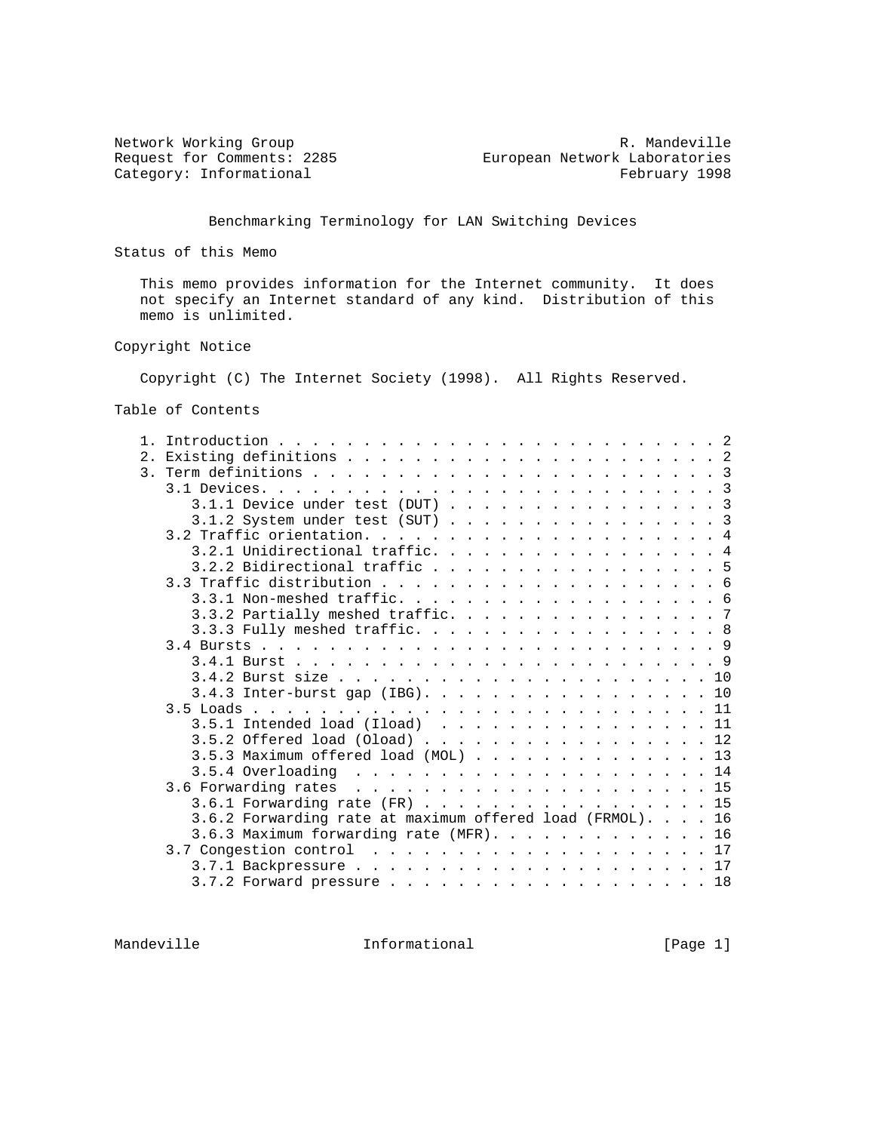Category: Informational

Network Working Group and the control of the Mandeville R. Mandeville Request for Comments: 2285 European Network Laboratories<br>Category: Informational February 1998

Benchmarking Terminology for LAN Switching Devices

Status of this Memo

 This memo provides information for the Internet community. It does not specify an Internet standard of any kind. Distribution of this memo is unlimited.

### Copyright Notice

Copyright (C) The Internet Society (1998). All Rights Reserved.

Table of Contents

| 2.1 |                                                           |
|-----|-----------------------------------------------------------|
|     |                                                           |
|     |                                                           |
|     | $3.1.1$ Device under test (DUT) 3                         |
|     | $3.1.2$ System under test (SUT) 3                         |
|     |                                                           |
|     | 3.2.1 Unidirectional traffic. 4                           |
|     | 3.2.2 Bidirectional traffic 5                             |
|     |                                                           |
|     |                                                           |
|     | 3.3.2 Partially meshed traffic. 7                         |
|     | 3.3.3 Fully meshed traffic. 8                             |
|     |                                                           |
|     |                                                           |
|     |                                                           |
|     | $3.4.3$ Inter-burst gap (IBG). 10                         |
|     |                                                           |
|     | $3.5.1$ Intended load (Iload) 11                          |
|     | $3.5.2$ Offered load (Oload) 12                           |
|     | $3.5.3$ Maximum offered load (MOL) 13                     |
|     |                                                           |
|     |                                                           |
|     |                                                           |
|     | $3.6.1$ Forwarding rate (FR) 15                           |
|     | 3.6.2 Forwarding rate at maximum offered load (FRMOL). 16 |
|     | 3.6.3 Maximum forwarding rate $(MFR)$ . 16                |
|     |                                                           |
|     |                                                           |
|     | $3.7.2$ Forward pressure 18                               |

Mandeville **Informational** Informational [Page 1]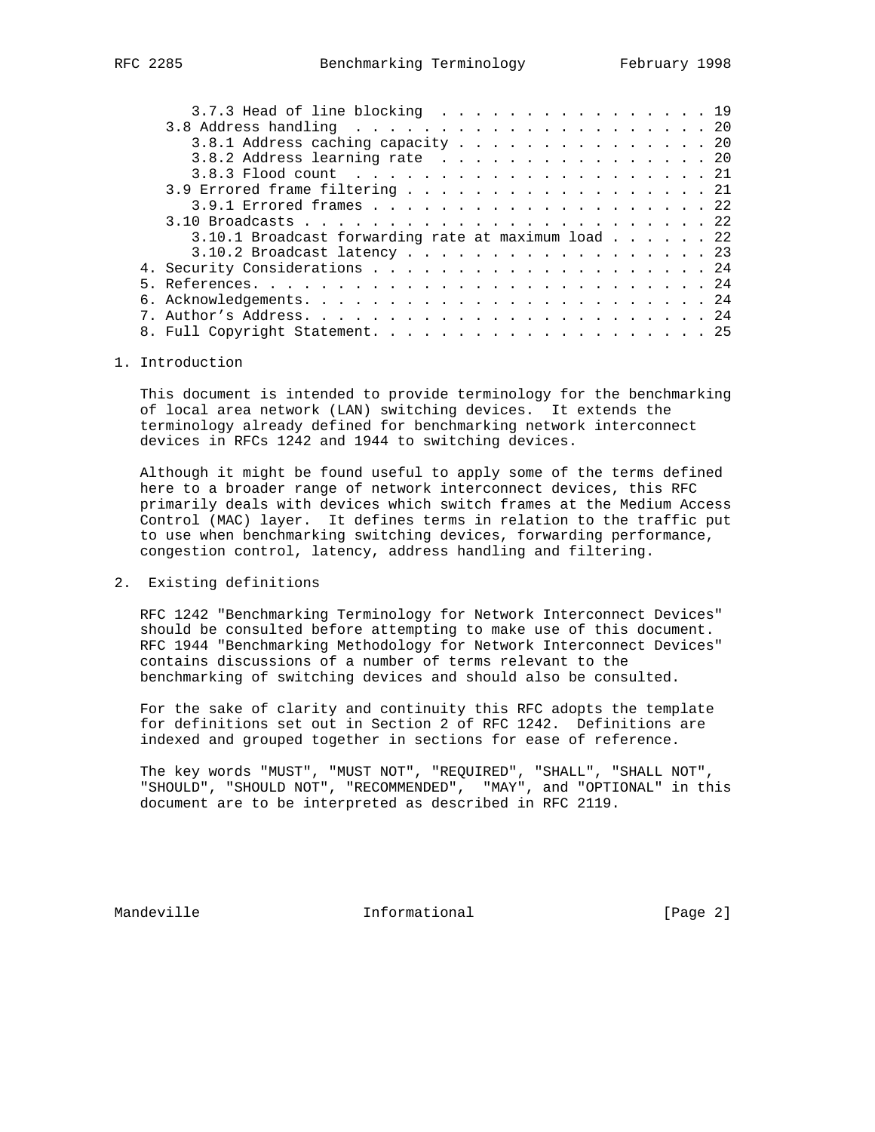|  | 3.7.3 Head of line blocking 19                                 |  |  |  |  |  |  |  |  |
|--|----------------------------------------------------------------|--|--|--|--|--|--|--|--|
|  |                                                                |  |  |  |  |  |  |  |  |
|  | 3.8.1 Address caching capacity 20                              |  |  |  |  |  |  |  |  |
|  | 3.8.2 Address learning rate 20                                 |  |  |  |  |  |  |  |  |
|  |                                                                |  |  |  |  |  |  |  |  |
|  | 3.9 Errored frame filtering 21                                 |  |  |  |  |  |  |  |  |
|  |                                                                |  |  |  |  |  |  |  |  |
|  |                                                                |  |  |  |  |  |  |  |  |
|  | $3.10.1$ Broadcast forwarding rate at maximum load $\ldots$ 22 |  |  |  |  |  |  |  |  |
|  | $3.10.2$ Broadcast latency 23                                  |  |  |  |  |  |  |  |  |
|  |                                                                |  |  |  |  |  |  |  |  |
|  |                                                                |  |  |  |  |  |  |  |  |
|  |                                                                |  |  |  |  |  |  |  |  |
|  |                                                                |  |  |  |  |  |  |  |  |
|  |                                                                |  |  |  |  |  |  |  |  |
|  |                                                                |  |  |  |  |  |  |  |  |

## 1. Introduction

 This document is intended to provide terminology for the benchmarking of local area network (LAN) switching devices. It extends the terminology already defined for benchmarking network interconnect devices in RFCs 1242 and 1944 to switching devices.

 Although it might be found useful to apply some of the terms defined here to a broader range of network interconnect devices, this RFC primarily deals with devices which switch frames at the Medium Access Control (MAC) layer. It defines terms in relation to the traffic put to use when benchmarking switching devices, forwarding performance, congestion control, latency, address handling and filtering.

# 2. Existing definitions

 RFC 1242 "Benchmarking Terminology for Network Interconnect Devices" should be consulted before attempting to make use of this document. RFC 1944 "Benchmarking Methodology for Network Interconnect Devices" contains discussions of a number of terms relevant to the benchmarking of switching devices and should also be consulted.

 For the sake of clarity and continuity this RFC adopts the template for definitions set out in Section 2 of RFC 1242. Definitions are indexed and grouped together in sections for ease of reference.

 The key words "MUST", "MUST NOT", "REQUIRED", "SHALL", "SHALL NOT", "SHOULD", "SHOULD NOT", "RECOMMENDED", "MAY", and "OPTIONAL" in this document are to be interpreted as described in RFC 2119.

Mandeville **Informational** Informational [Page 2]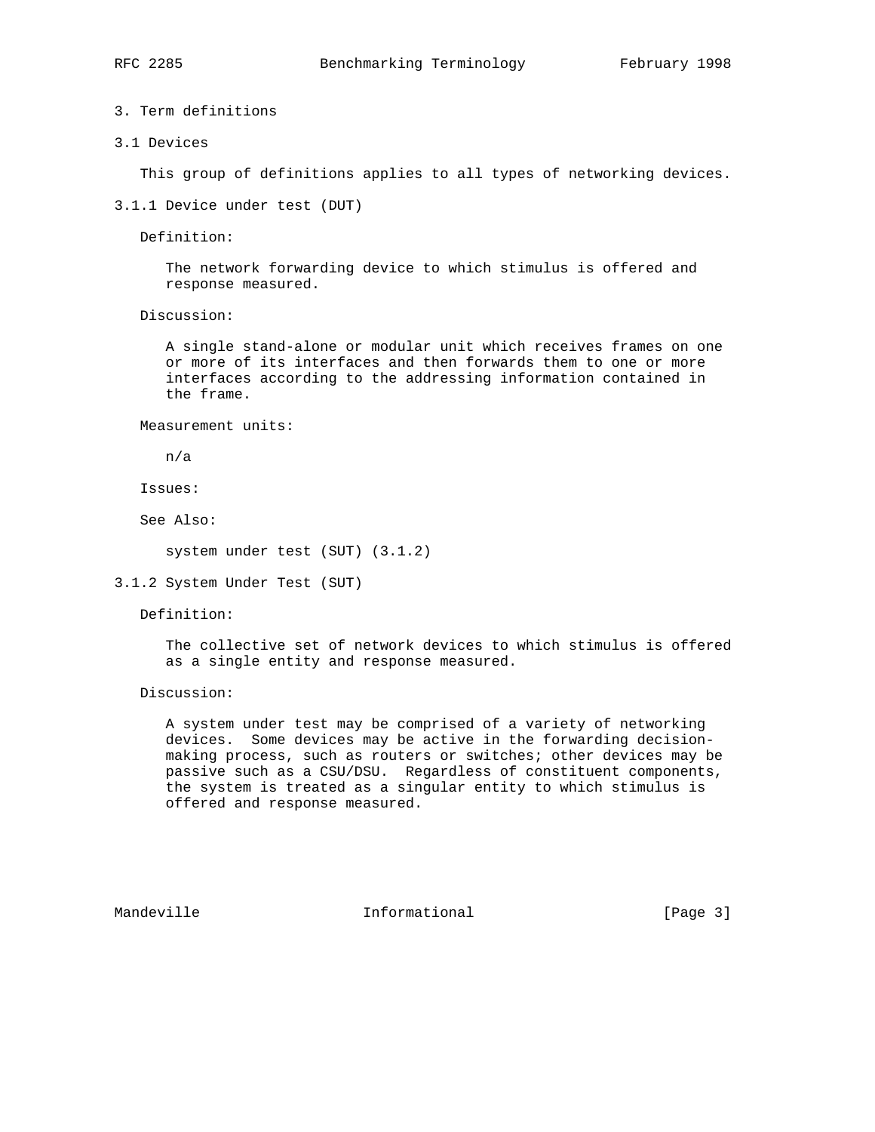3. Term definitions

3.1 Devices

This group of definitions applies to all types of networking devices.

3.1.1 Device under test (DUT)

Definition:

 The network forwarding device to which stimulus is offered and response measured.

Discussion:

 A single stand-alone or modular unit which receives frames on one or more of its interfaces and then forwards them to one or more interfaces according to the addressing information contained in the frame.

Measurement units:

n/a

Issues:

See Also:

system under test (SUT) (3.1.2)

3.1.2 System Under Test (SUT)

Definition:

 The collective set of network devices to which stimulus is offered as a single entity and response measured.

Discussion:

 A system under test may be comprised of a variety of networking devices. Some devices may be active in the forwarding decision making process, such as routers or switches; other devices may be passive such as a CSU/DSU. Regardless of constituent components, the system is treated as a singular entity to which stimulus is offered and response measured.

Mandeville **Informational** Informational [Page 3]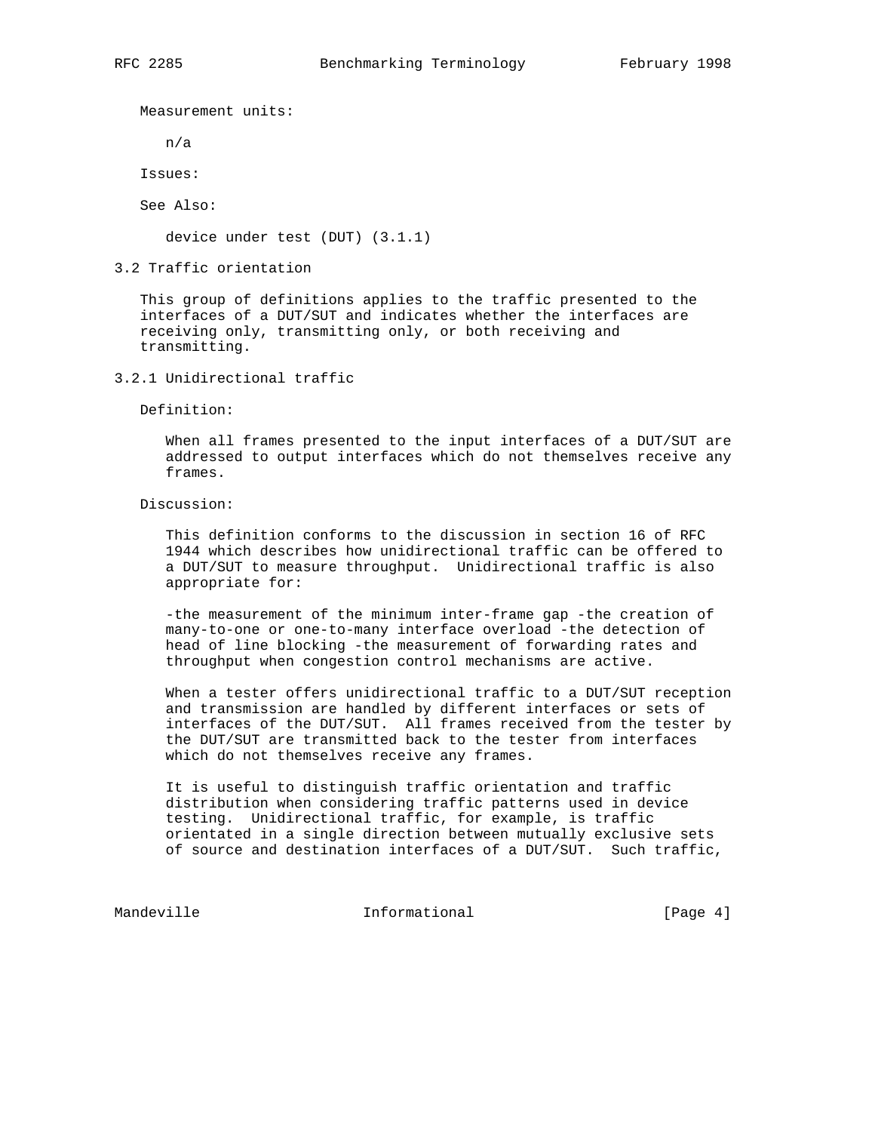Measurement units:

n/a

Issues:

See Also:

device under test (DUT) (3.1.1)

3.2 Traffic orientation

 This group of definitions applies to the traffic presented to the interfaces of a DUT/SUT and indicates whether the interfaces are receiving only, transmitting only, or both receiving and transmitting.

3.2.1 Unidirectional traffic

Definition:

 When all frames presented to the input interfaces of a DUT/SUT are addressed to output interfaces which do not themselves receive any frames.

Discussion:

 This definition conforms to the discussion in section 16 of RFC 1944 which describes how unidirectional traffic can be offered to a DUT/SUT to measure throughput. Unidirectional traffic is also appropriate for:

 -the measurement of the minimum inter-frame gap -the creation of many-to-one or one-to-many interface overload -the detection of head of line blocking -the measurement of forwarding rates and throughput when congestion control mechanisms are active.

 When a tester offers unidirectional traffic to a DUT/SUT reception and transmission are handled by different interfaces or sets of interfaces of the DUT/SUT. All frames received from the tester by the DUT/SUT are transmitted back to the tester from interfaces which do not themselves receive any frames.

 It is useful to distinguish traffic orientation and traffic distribution when considering traffic patterns used in device testing. Unidirectional traffic, for example, is traffic orientated in a single direction between mutually exclusive sets of source and destination interfaces of a DUT/SUT. Such traffic,

Mandeville **Informational** Informational [Page 4]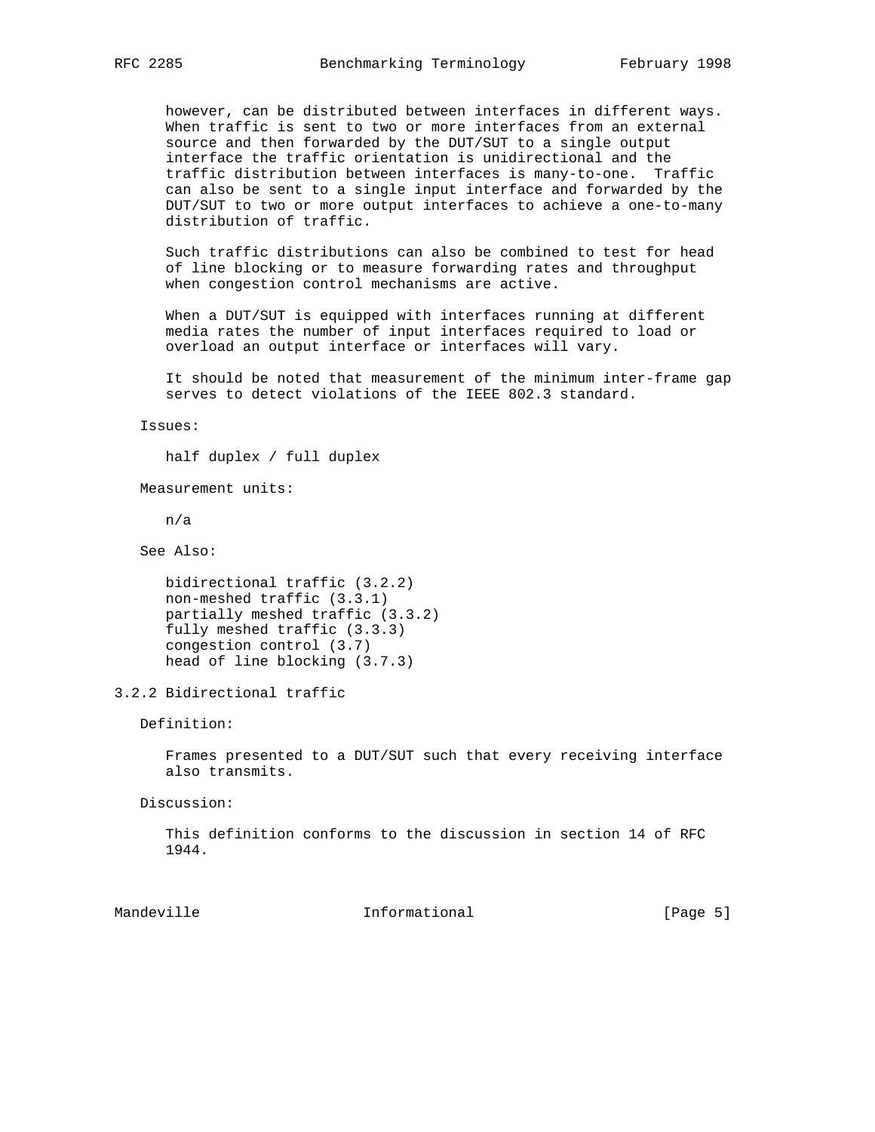however, can be distributed between interfaces in different ways. When traffic is sent to two or more interfaces from an external source and then forwarded by the DUT/SUT to a single output interface the traffic orientation is unidirectional and the traffic distribution between interfaces is many-to-one. Traffic can also be sent to a single input interface and forwarded by the DUT/SUT to two or more output interfaces to achieve a one-to-many distribution of traffic.

 Such traffic distributions can also be combined to test for head of line blocking or to measure forwarding rates and throughput when congestion control mechanisms are active.

 When a DUT/SUT is equipped with interfaces running at different media rates the number of input interfaces required to load or overload an output interface or interfaces will vary.

 It should be noted that measurement of the minimum inter-frame gap serves to detect violations of the IEEE 802.3 standard.

Issues:

half duplex / full duplex

Measurement units:

n/a

See Also:

```
 bidirectional traffic (3.2.2)
non-meshed traffic (3.3.1)
partially meshed traffic (3.3.2)
fully meshed traffic (3.3.3)
congestion control (3.7)
head of line blocking (3.7.3)
```
3.2.2 Bidirectional traffic

Definition:

 Frames presented to a DUT/SUT such that every receiving interface also transmits.

Discussion:

 This definition conforms to the discussion in section 14 of RFC 1944.

Mandeville **Informational** Informational [Page 5]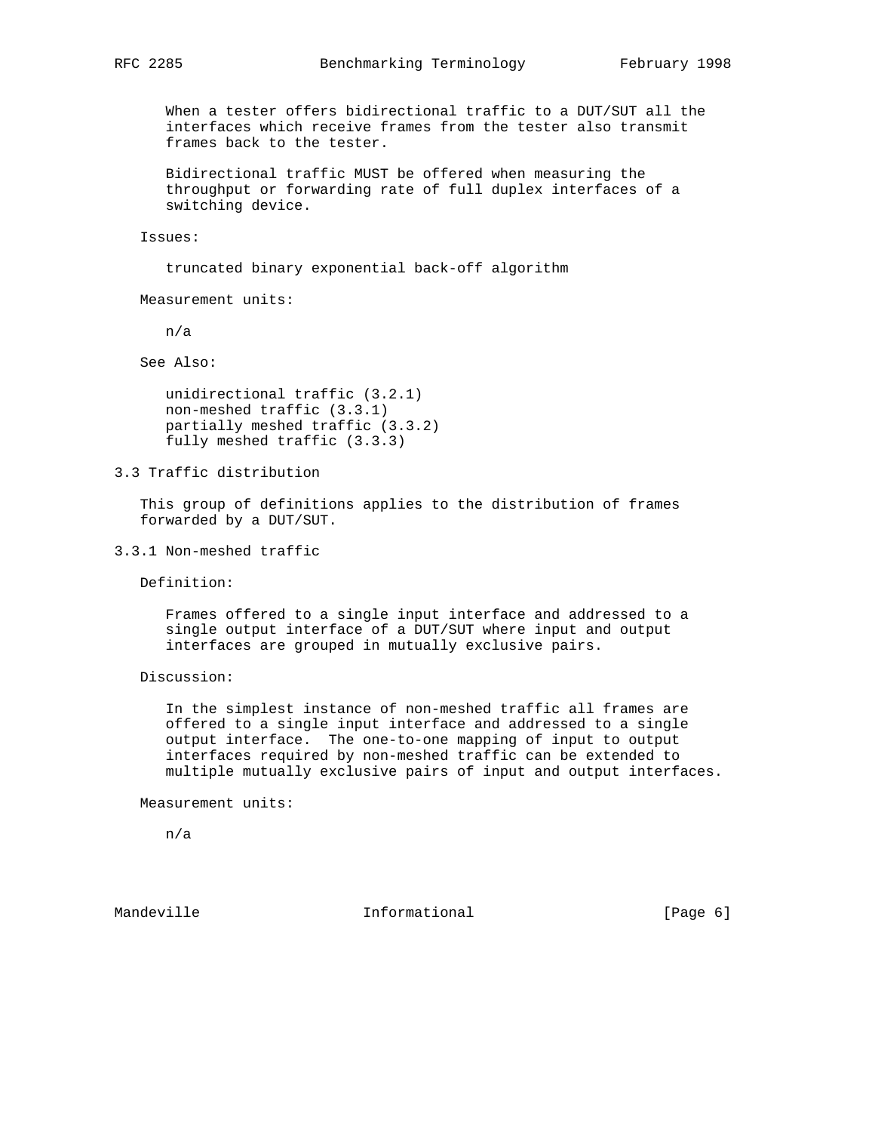When a tester offers bidirectional traffic to a DUT/SUT all the interfaces which receive frames from the tester also transmit frames back to the tester.

 Bidirectional traffic MUST be offered when measuring the throughput or forwarding rate of full duplex interfaces of a switching device.

Issues:

truncated binary exponential back-off algorithm

Measurement units:

n/a

See Also:

 unidirectional traffic (3.2.1) non-meshed traffic (3.3.1) partially meshed traffic (3.3.2) fully meshed traffic (3.3.3)

3.3 Traffic distribution

 This group of definitions applies to the distribution of frames forwarded by a DUT/SUT.

3.3.1 Non-meshed traffic

Definition:

 Frames offered to a single input interface and addressed to a single output interface of a DUT/SUT where input and output interfaces are grouped in mutually exclusive pairs.

Discussion:

 In the simplest instance of non-meshed traffic all frames are offered to a single input interface and addressed to a single output interface. The one-to-one mapping of input to output interfaces required by non-meshed traffic can be extended to multiple mutually exclusive pairs of input and output interfaces.

Measurement units:

n/a

Mandeville **Informational** Informational [Page 6]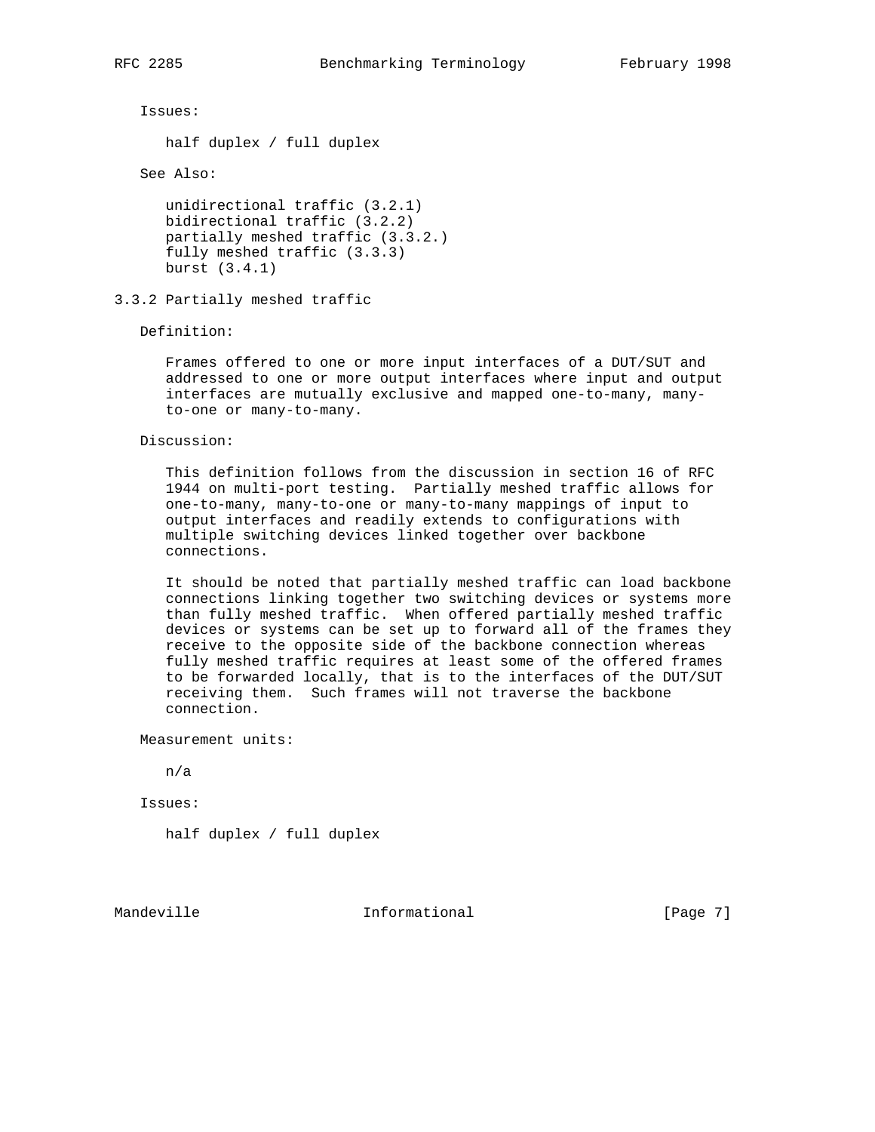Issues:

half duplex / full duplex

See Also:

```
 unidirectional traffic (3.2.1)
bidirectional traffic (3.2.2)
partially meshed traffic (3.3.2.)
fully meshed traffic (3.3.3)
burst (3.4.1)
```
## 3.3.2 Partially meshed traffic

Definition:

 Frames offered to one or more input interfaces of a DUT/SUT and addressed to one or more output interfaces where input and output interfaces are mutually exclusive and mapped one-to-many, many to-one or many-to-many.

Discussion:

 This definition follows from the discussion in section 16 of RFC 1944 on multi-port testing. Partially meshed traffic allows for one-to-many, many-to-one or many-to-many mappings of input to output interfaces and readily extends to configurations with multiple switching devices linked together over backbone connections.

 It should be noted that partially meshed traffic can load backbone connections linking together two switching devices or systems more than fully meshed traffic. When offered partially meshed traffic devices or systems can be set up to forward all of the frames they receive to the opposite side of the backbone connection whereas fully meshed traffic requires at least some of the offered frames to be forwarded locally, that is to the interfaces of the DUT/SUT receiving them. Such frames will not traverse the backbone connection.

Measurement units:

n/a

Issues:

half duplex / full duplex

Mandeville **Informational** Informational [Page 7]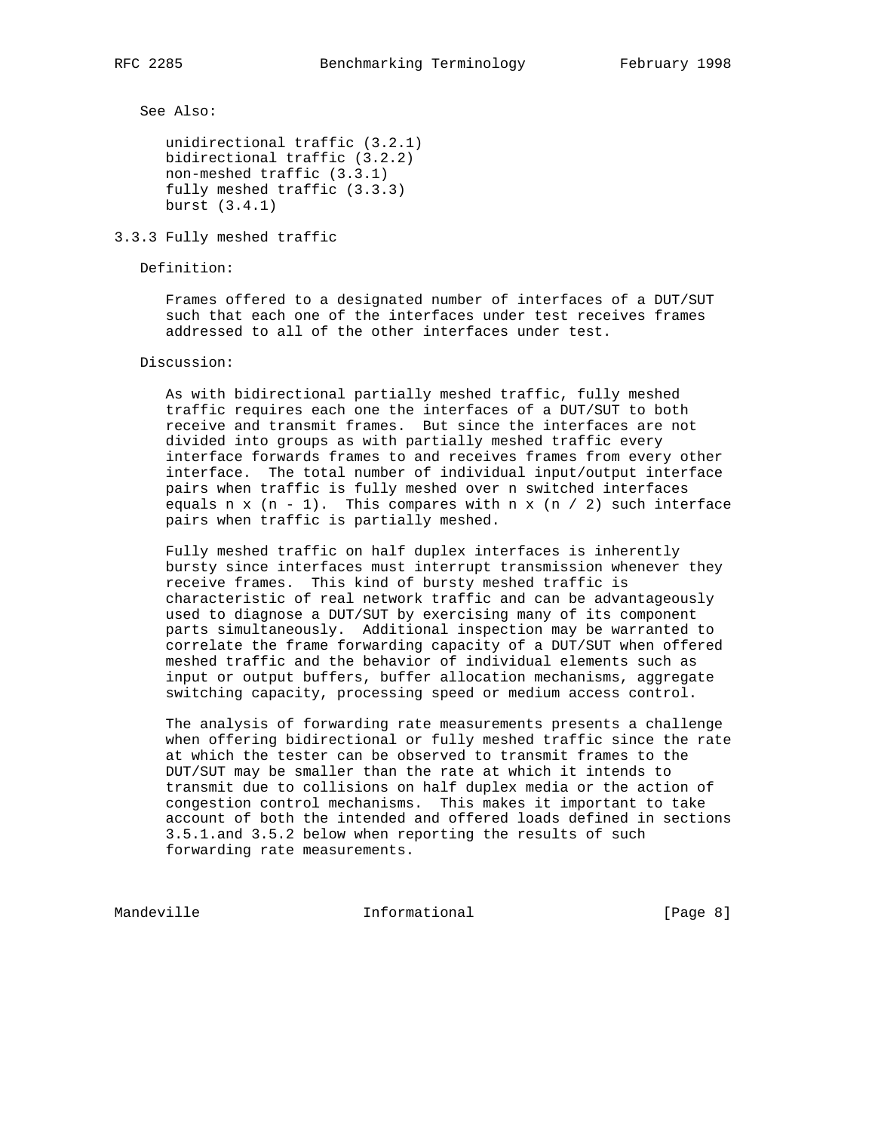See Also:

 unidirectional traffic (3.2.1) bidirectional traffic (3.2.2) non-meshed traffic (3.3.1) fully meshed traffic (3.3.3) burst (3.4.1)

3.3.3 Fully meshed traffic

Definition:

 Frames offered to a designated number of interfaces of a DUT/SUT such that each one of the interfaces under test receives frames addressed to all of the other interfaces under test.

Discussion:

 As with bidirectional partially meshed traffic, fully meshed traffic requires each one the interfaces of a DUT/SUT to both receive and transmit frames. But since the interfaces are not divided into groups as with partially meshed traffic every interface forwards frames to and receives frames from every other interface. The total number of individual input/output interface pairs when traffic is fully meshed over n switched interfaces equals n x  $(n - 1)$ . This compares with n x  $(n / 2)$  such interface pairs when traffic is partially meshed.

 Fully meshed traffic on half duplex interfaces is inherently bursty since interfaces must interrupt transmission whenever they receive frames. This kind of bursty meshed traffic is characteristic of real network traffic and can be advantageously used to diagnose a DUT/SUT by exercising many of its component parts simultaneously. Additional inspection may be warranted to correlate the frame forwarding capacity of a DUT/SUT when offered meshed traffic and the behavior of individual elements such as input or output buffers, buffer allocation mechanisms, aggregate switching capacity, processing speed or medium access control.

 The analysis of forwarding rate measurements presents a challenge when offering bidirectional or fully meshed traffic since the rate at which the tester can be observed to transmit frames to the DUT/SUT may be smaller than the rate at which it intends to transmit due to collisions on half duplex media or the action of congestion control mechanisms. This makes it important to take account of both the intended and offered loads defined in sections 3.5.1.and 3.5.2 below when reporting the results of such forwarding rate measurements.

Mandeville **Informational** Informational [Page 8]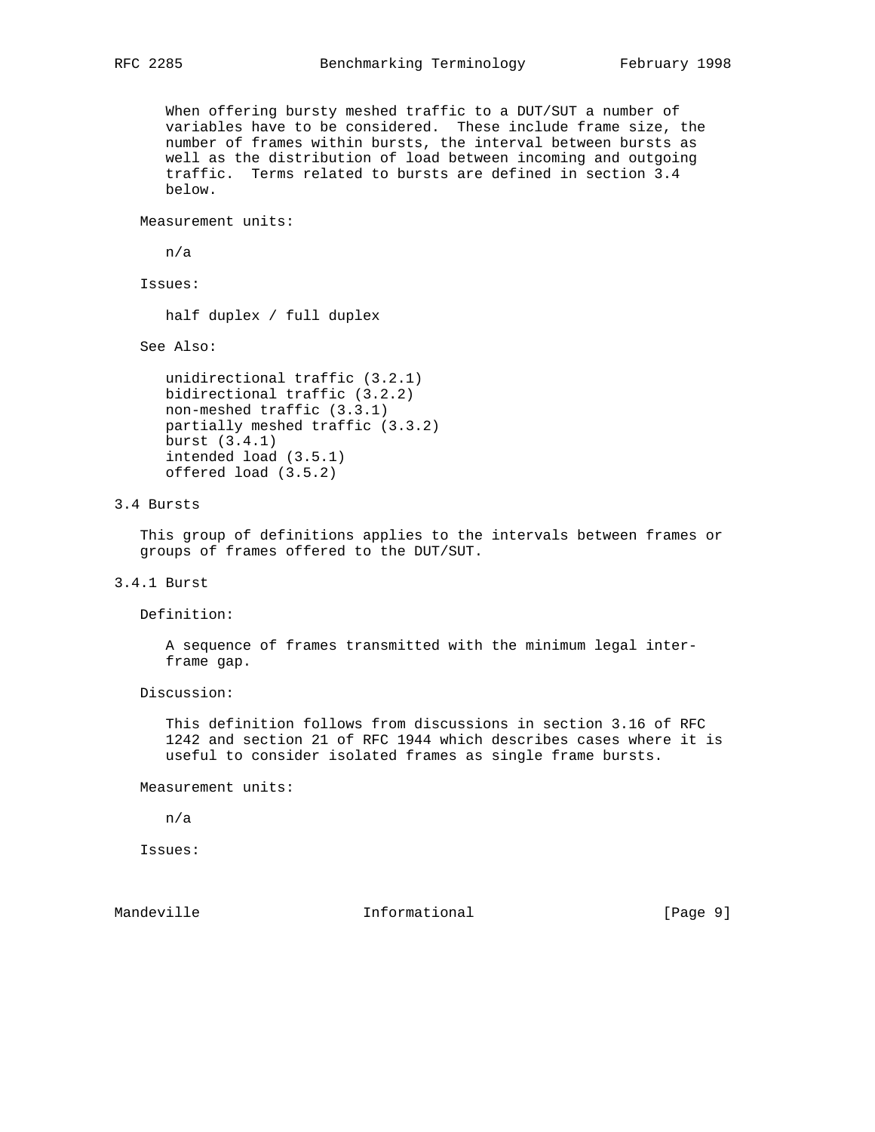When offering bursty meshed traffic to a DUT/SUT a number of variables have to be considered. These include frame size, the number of frames within bursts, the interval between bursts as well as the distribution of load between incoming and outgoing traffic. Terms related to bursts are defined in section 3.4 below.

Measurement units:

n/a

Issues:

half duplex / full duplex

See Also:

```
 unidirectional traffic (3.2.1)
bidirectional traffic (3.2.2)
non-meshed traffic (3.3.1)
partially meshed traffic (3.3.2)
burst (3.4.1)
intended load (3.5.1)
offered load (3.5.2)
```
# 3.4 Bursts

 This group of definitions applies to the intervals between frames or groups of frames offered to the DUT/SUT.

3.4.1 Burst

Definition:

 A sequence of frames transmitted with the minimum legal inter frame gap.

Discussion:

 This definition follows from discussions in section 3.16 of RFC 1242 and section 21 of RFC 1944 which describes cases where it is useful to consider isolated frames as single frame bursts.

Measurement units:

n/a

Issues:

Mandeville **Informational** Informational [Page 9]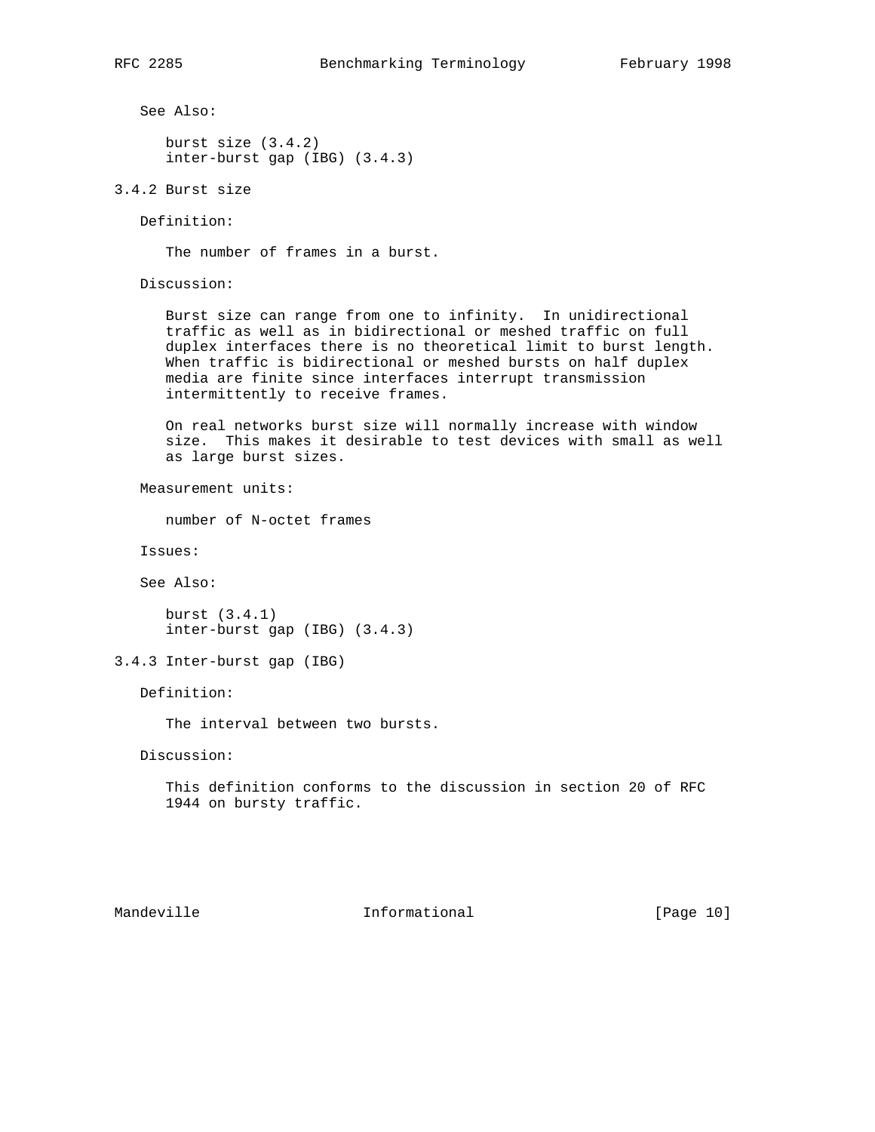See Also:

 burst size (3.4.2) inter-burst gap (IBG) (3.4.3)

3.4.2 Burst size

Definition:

The number of frames in a burst.

Discussion:

 Burst size can range from one to infinity. In unidirectional traffic as well as in bidirectional or meshed traffic on full duplex interfaces there is no theoretical limit to burst length. When traffic is bidirectional or meshed bursts on half duplex media are finite since interfaces interrupt transmission intermittently to receive frames.

 On real networks burst size will normally increase with window size. This makes it desirable to test devices with small as well as large burst sizes.

Measurement units:

number of N-octet frames

Issues:

See Also:

 burst (3.4.1) inter-burst gap (IBG) (3.4.3)

3.4.3 Inter-burst gap (IBG)

Definition:

The interval between two bursts.

Discussion:

 This definition conforms to the discussion in section 20 of RFC 1944 on bursty traffic.

Mandeville **Informational** Informational [Page 10]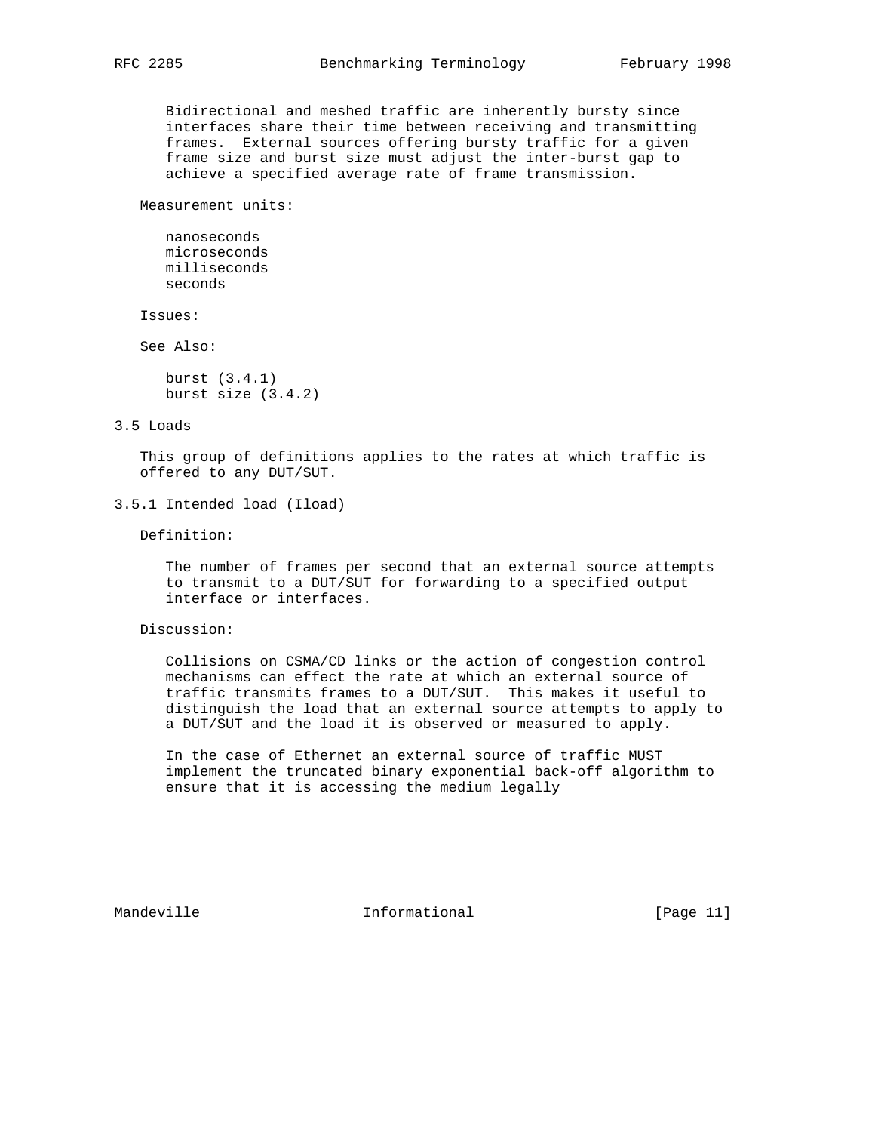Bidirectional and meshed traffic are inherently bursty since interfaces share their time between receiving and transmitting frames. External sources offering bursty traffic for a given frame size and burst size must adjust the inter-burst gap to

achieve a specified average rate of frame transmission.

Measurement units:

 nanoseconds microseconds milliseconds seconds

Issues:

See Also:

 burst (3.4.1) burst size (3.4.2)

#### 3.5 Loads

 This group of definitions applies to the rates at which traffic is offered to any DUT/SUT.

Definition:

 The number of frames per second that an external source attempts to transmit to a DUT/SUT for forwarding to a specified output interface or interfaces.

Discussion:

 Collisions on CSMA/CD links or the action of congestion control mechanisms can effect the rate at which an external source of traffic transmits frames to a DUT/SUT. This makes it useful to distinguish the load that an external source attempts to apply to a DUT/SUT and the load it is observed or measured to apply.

 In the case of Ethernet an external source of traffic MUST implement the truncated binary exponential back-off algorithm to ensure that it is accessing the medium legally

Mandeville **Informational** Informational [Page 11]

<sup>3.5.1</sup> Intended load (Iload)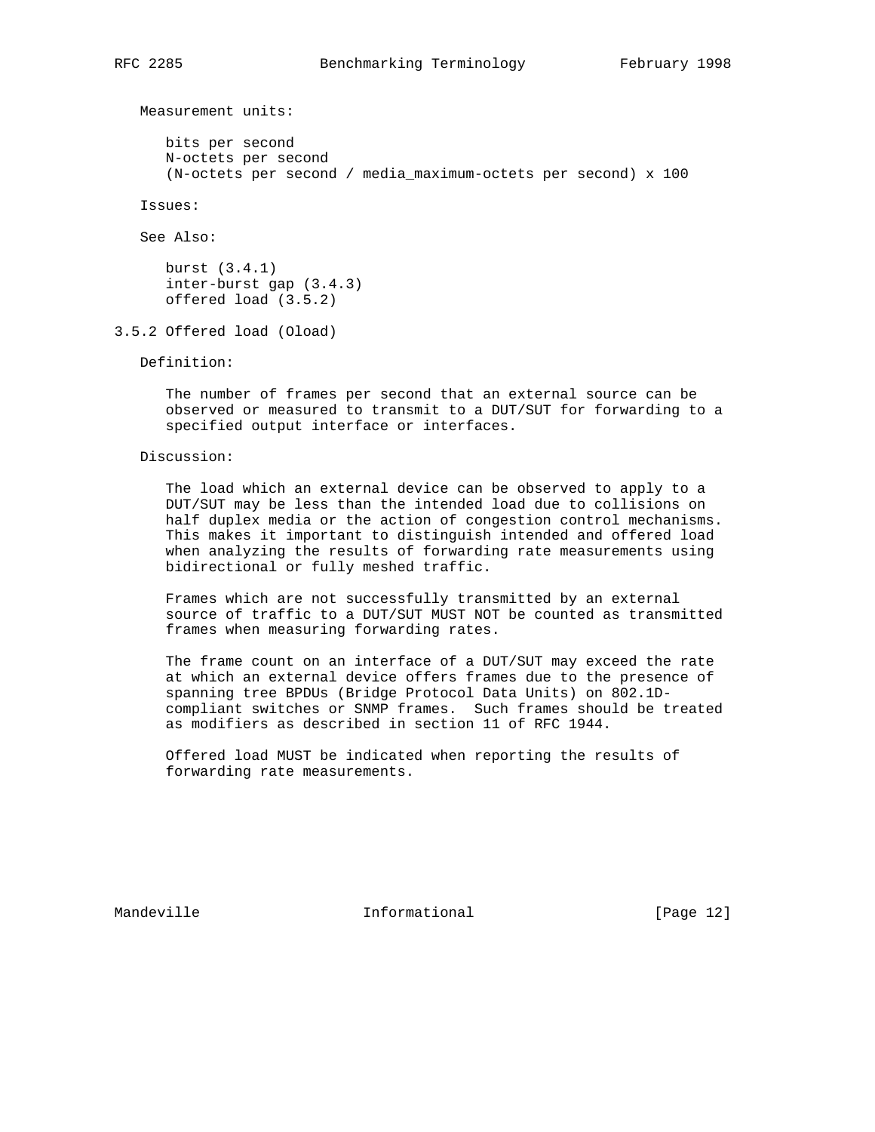Measurement units:

 bits per second N-octets per second (N-octets per second / media\_maximum-octets per second) x 100

Issues:

See Also:

 burst (3.4.1) inter-burst gap (3.4.3) offered load (3.5.2)

3.5.2 Offered load (Oload)

Definition:

 The number of frames per second that an external source can be observed or measured to transmit to a DUT/SUT for forwarding to a specified output interface or interfaces.

Discussion:

 The load which an external device can be observed to apply to a DUT/SUT may be less than the intended load due to collisions on half duplex media or the action of congestion control mechanisms. This makes it important to distinguish intended and offered load when analyzing the results of forwarding rate measurements using bidirectional or fully meshed traffic.

 Frames which are not successfully transmitted by an external source of traffic to a DUT/SUT MUST NOT be counted as transmitted frames when measuring forwarding rates.

 The frame count on an interface of a DUT/SUT may exceed the rate at which an external device offers frames due to the presence of spanning tree BPDUs (Bridge Protocol Data Units) on 802.1D compliant switches or SNMP frames. Such frames should be treated as modifiers as described in section 11 of RFC 1944.

 Offered load MUST be indicated when reporting the results of forwarding rate measurements.

Mandeville **Informational** Informational [Page 12]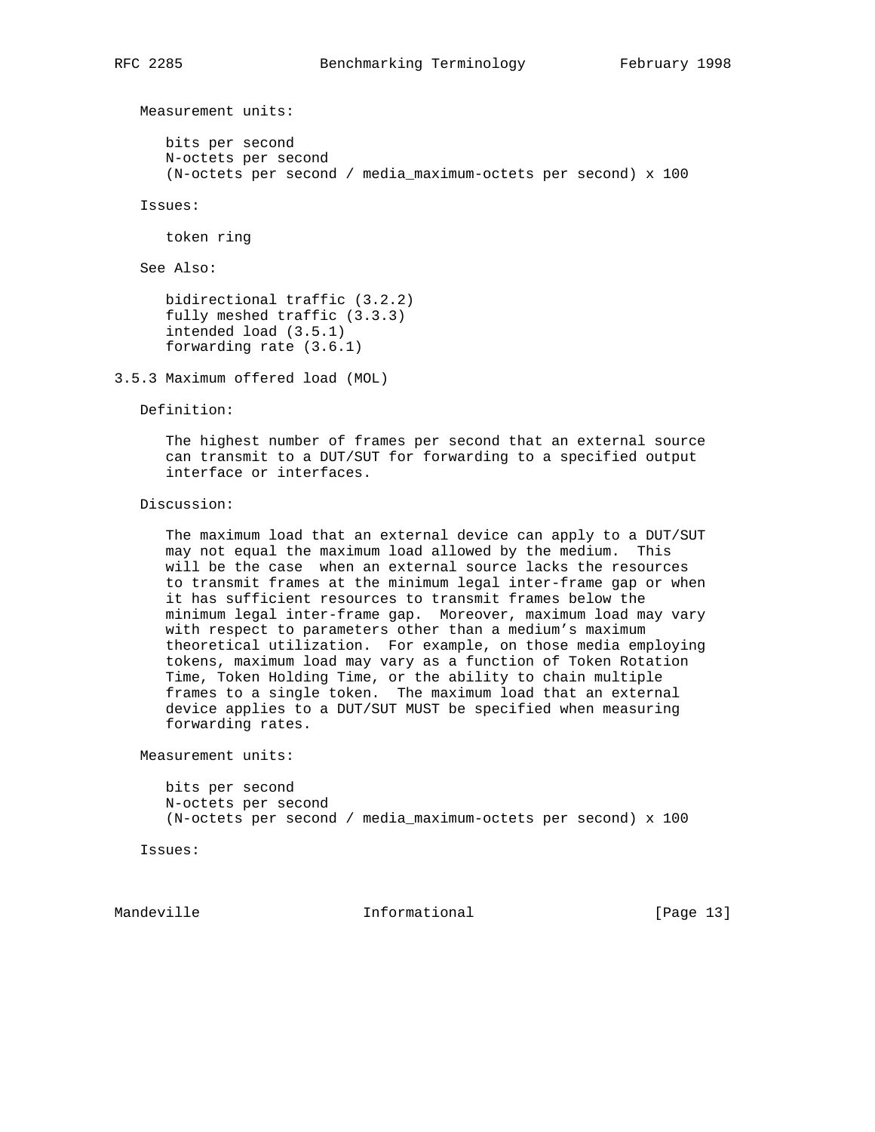Measurement units:

 bits per second N-octets per second (N-octets per second / media\_maximum-octets per second) x 100

Issues:

token ring

See Also:

 bidirectional traffic (3.2.2) fully meshed traffic (3.3.3) intended load (3.5.1) forwarding rate (3.6.1)

```
3.5.3 Maximum offered load (MOL)
```
Definition:

 The highest number of frames per second that an external source can transmit to a DUT/SUT for forwarding to a specified output interface or interfaces.

Discussion:

 The maximum load that an external device can apply to a DUT/SUT may not equal the maximum load allowed by the medium. This will be the case when an external source lacks the resources to transmit frames at the minimum legal inter-frame gap or when it has sufficient resources to transmit frames below the minimum legal inter-frame gap. Moreover, maximum load may vary with respect to parameters other than a medium's maximum theoretical utilization. For example, on those media employing tokens, maximum load may vary as a function of Token Rotation Time, Token Holding Time, or the ability to chain multiple frames to a single token. The maximum load that an external device applies to a DUT/SUT MUST be specified when measuring forwarding rates.

Measurement units:

 bits per second N-octets per second (N-octets per second / media\_maximum-octets per second) x 100

Issues:

Mandeville **Informational** Informational [Page 13]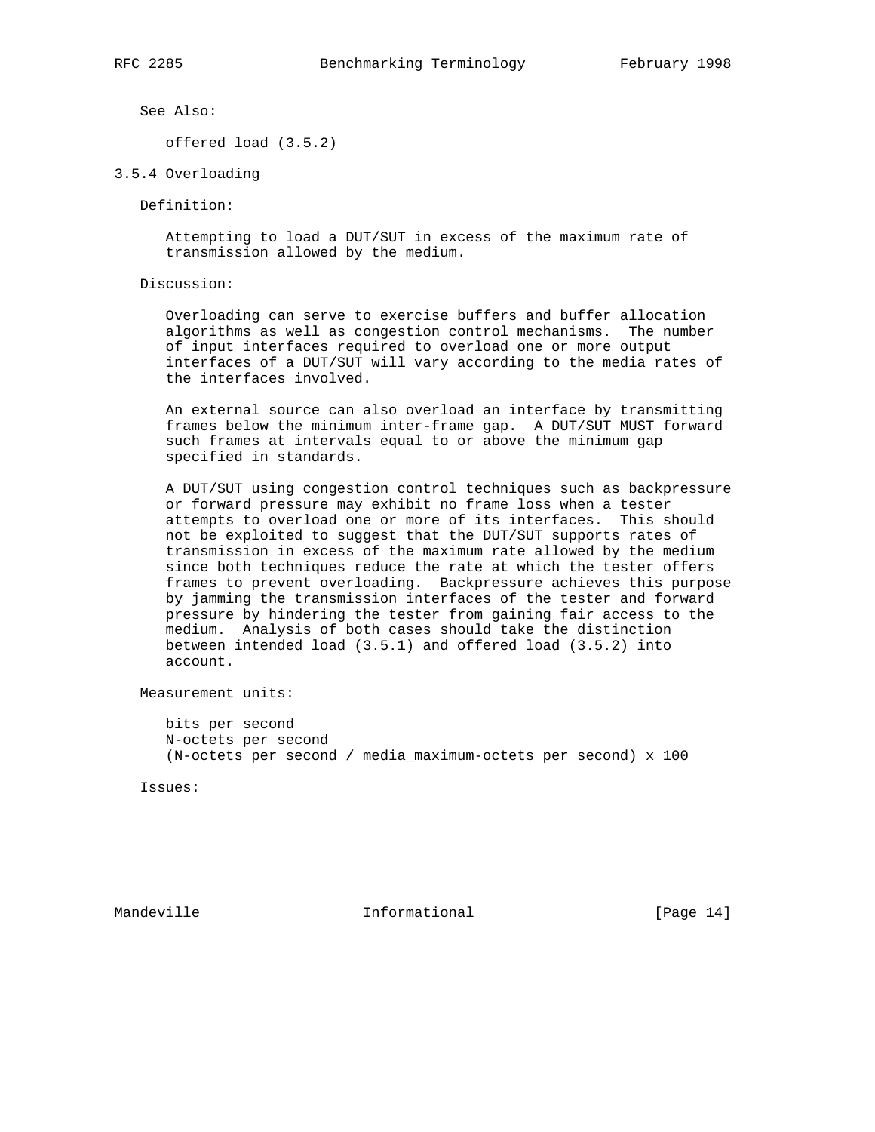See Also:

offered load (3.5.2)

3.5.4 Overloading

Definition:

 Attempting to load a DUT/SUT in excess of the maximum rate of transmission allowed by the medium.

Discussion:

 Overloading can serve to exercise buffers and buffer allocation algorithms as well as congestion control mechanisms. The number of input interfaces required to overload one or more output interfaces of a DUT/SUT will vary according to the media rates of the interfaces involved.

 An external source can also overload an interface by transmitting frames below the minimum inter-frame gap. A DUT/SUT MUST forward such frames at intervals equal to or above the minimum gap specified in standards.

 A DUT/SUT using congestion control techniques such as backpressure or forward pressure may exhibit no frame loss when a tester attempts to overload one or more of its interfaces. This should not be exploited to suggest that the DUT/SUT supports rates of transmission in excess of the maximum rate allowed by the medium since both techniques reduce the rate at which the tester offers frames to prevent overloading. Backpressure achieves this purpose by jamming the transmission interfaces of the tester and forward pressure by hindering the tester from gaining fair access to the medium. Analysis of both cases should take the distinction between intended load (3.5.1) and offered load (3.5.2) into account.

Measurement units:

 bits per second N-octets per second (N-octets per second / media\_maximum-octets per second) x 100

Issues:

Mandeville **Informational** Informational [Page 14]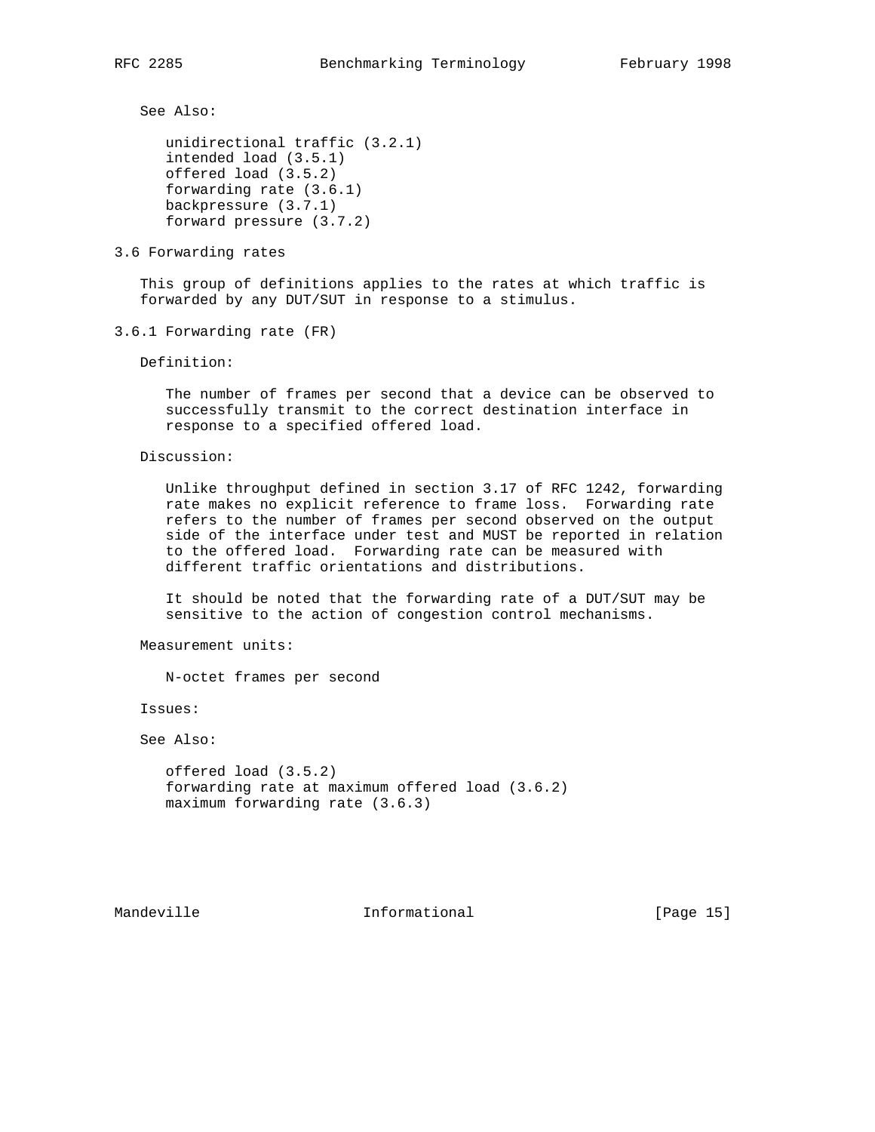See Also:

```
 unidirectional traffic (3.2.1)
intended load (3.5.1)
offered load (3.5.2)
forwarding rate (3.6.1)
backpressure (3.7.1)
forward pressure (3.7.2)
```
3.6 Forwarding rates

 This group of definitions applies to the rates at which traffic is forwarded by any DUT/SUT in response to a stimulus.

3.6.1 Forwarding rate (FR)

Definition:

 The number of frames per second that a device can be observed to successfully transmit to the correct destination interface in response to a specified offered load.

Discussion:

 Unlike throughput defined in section 3.17 of RFC 1242, forwarding rate makes no explicit reference to frame loss. Forwarding rate refers to the number of frames per second observed on the output side of the interface under test and MUST be reported in relation to the offered load. Forwarding rate can be measured with different traffic orientations and distributions.

 It should be noted that the forwarding rate of a DUT/SUT may be sensitive to the action of congestion control mechanisms.

Measurement units:

N-octet frames per second

Issues:

See Also:

```
 offered load (3.5.2)
forwarding rate at maximum offered load (3.6.2)
maximum forwarding rate (3.6.3)
```
Mandeville **Informational** Informational [Page 15]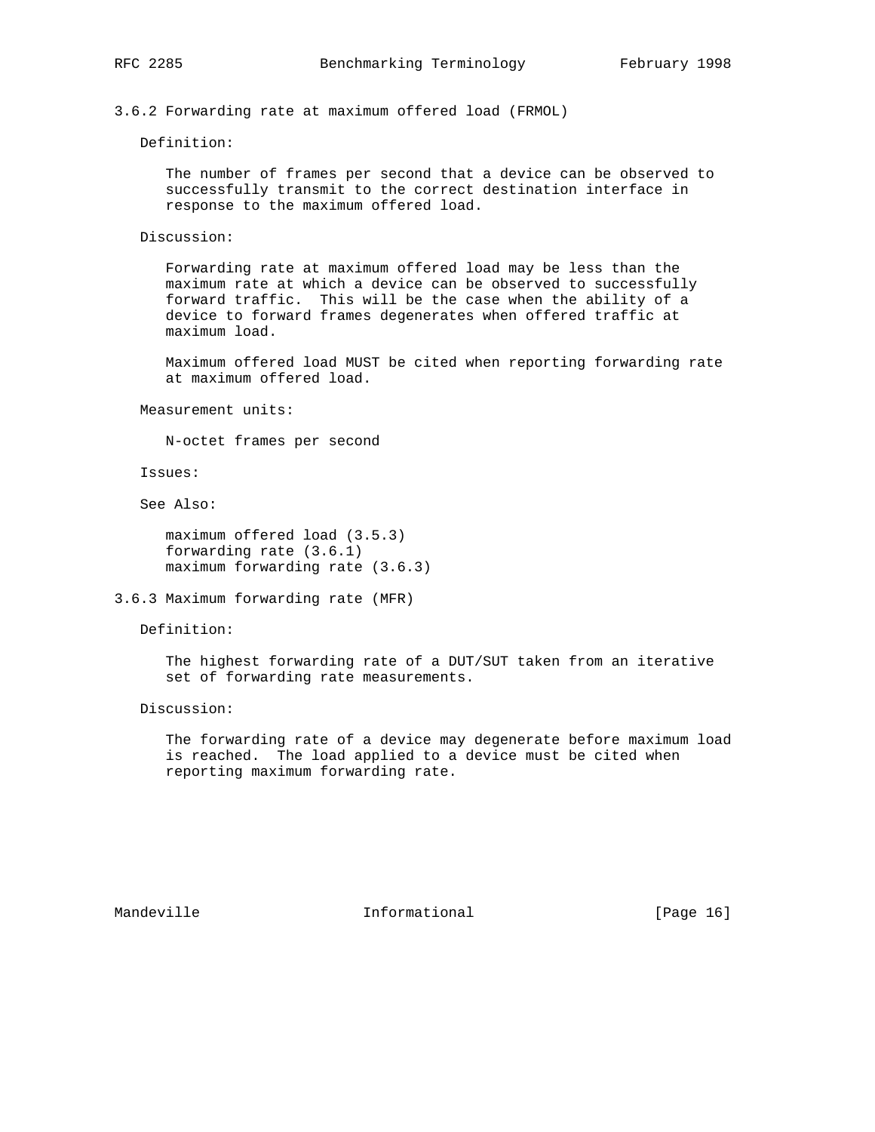3.6.2 Forwarding rate at maximum offered load (FRMOL)

Definition:

 The number of frames per second that a device can be observed to successfully transmit to the correct destination interface in response to the maximum offered load.

Discussion:

 Forwarding rate at maximum offered load may be less than the maximum rate at which a device can be observed to successfully forward traffic. This will be the case when the ability of a device to forward frames degenerates when offered traffic at maximum load.

 Maximum offered load MUST be cited when reporting forwarding rate at maximum offered load.

Measurement units:

N-octet frames per second

Issues:

See Also:

 maximum offered load (3.5.3) forwarding rate (3.6.1) maximum forwarding rate (3.6.3)

3.6.3 Maximum forwarding rate (MFR)

Definition:

 The highest forwarding rate of a DUT/SUT taken from an iterative set of forwarding rate measurements.

Discussion:

 The forwarding rate of a device may degenerate before maximum load is reached. The load applied to a device must be cited when reporting maximum forwarding rate.

Mandeville **Informational** Informational [Page 16]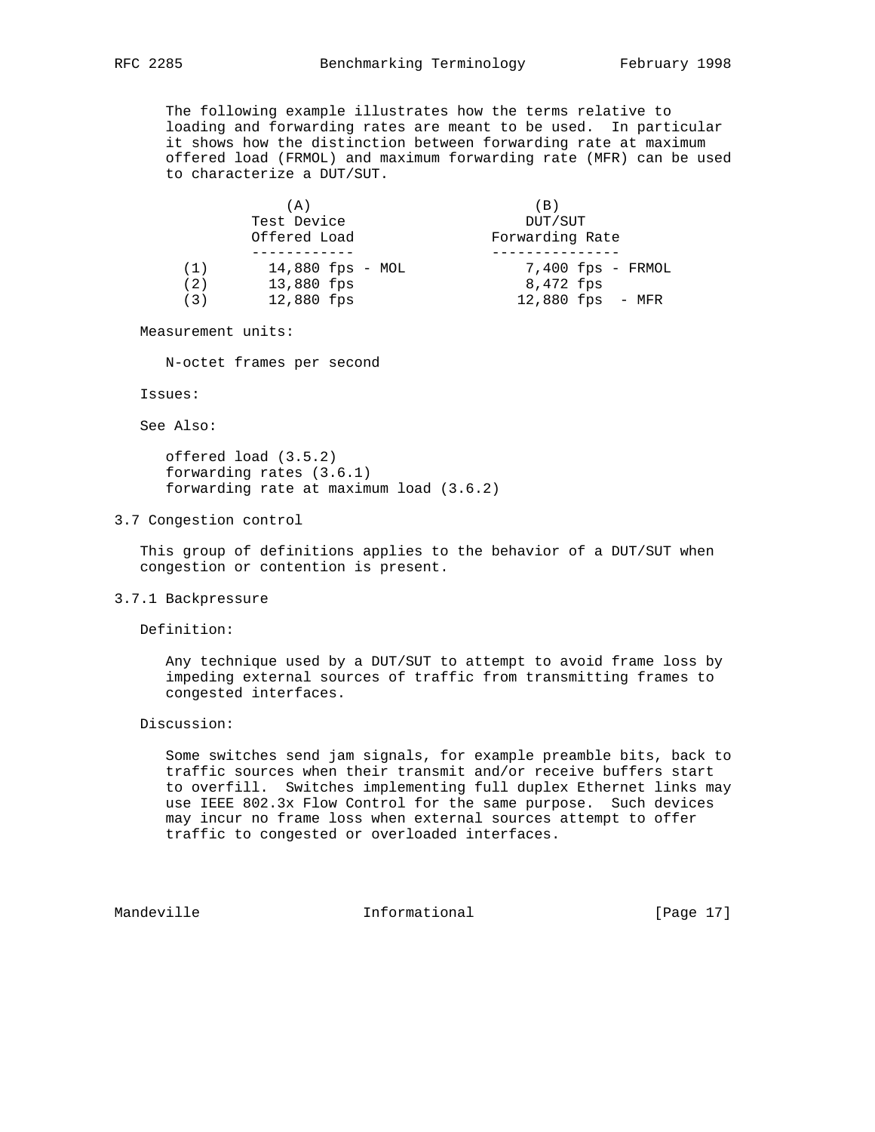The following example illustrates how the terms relative to loading and forwarding rates are meant to be used. In particular it shows how the distinction between forwarding rate at maximum offered load (FRMOL) and maximum forwarding rate (MFR) can be used to characterize a DUT/SUT.

|     | (A)                | (B)                 |  |  |  |  |  |  |  |  |
|-----|--------------------|---------------------|--|--|--|--|--|--|--|--|
|     | Test Device        | DUT/SUT             |  |  |  |  |  |  |  |  |
|     | Offered Load       | Forwarding Rate     |  |  |  |  |  |  |  |  |
|     |                    |                     |  |  |  |  |  |  |  |  |
| (1) | $14,880$ fps - MOL | $7,400$ fps - FRMOL |  |  |  |  |  |  |  |  |
| (2) | 13,880 fps         | 8,472 fps           |  |  |  |  |  |  |  |  |
| (3) | 12,880 fps         | 12,880 fps<br>– MFR |  |  |  |  |  |  |  |  |

Measurement units:

N-octet frames per second

Issues:

See Also:

 offered load (3.5.2) forwarding rates (3.6.1) forwarding rate at maximum load (3.6.2)

#### 3.7 Congestion control

 This group of definitions applies to the behavior of a DUT/SUT when congestion or contention is present.

### 3.7.1 Backpressure

Definition:

 Any technique used by a DUT/SUT to attempt to avoid frame loss by impeding external sources of traffic from transmitting frames to congested interfaces.

Discussion:

 Some switches send jam signals, for example preamble bits, back to traffic sources when their transmit and/or receive buffers start to overfill. Switches implementing full duplex Ethernet links may use IEEE 802.3x Flow Control for the same purpose. Such devices may incur no frame loss when external sources attempt to offer traffic to congested or overloaded interfaces.

Mandeville **Informational** Informational [Page 17]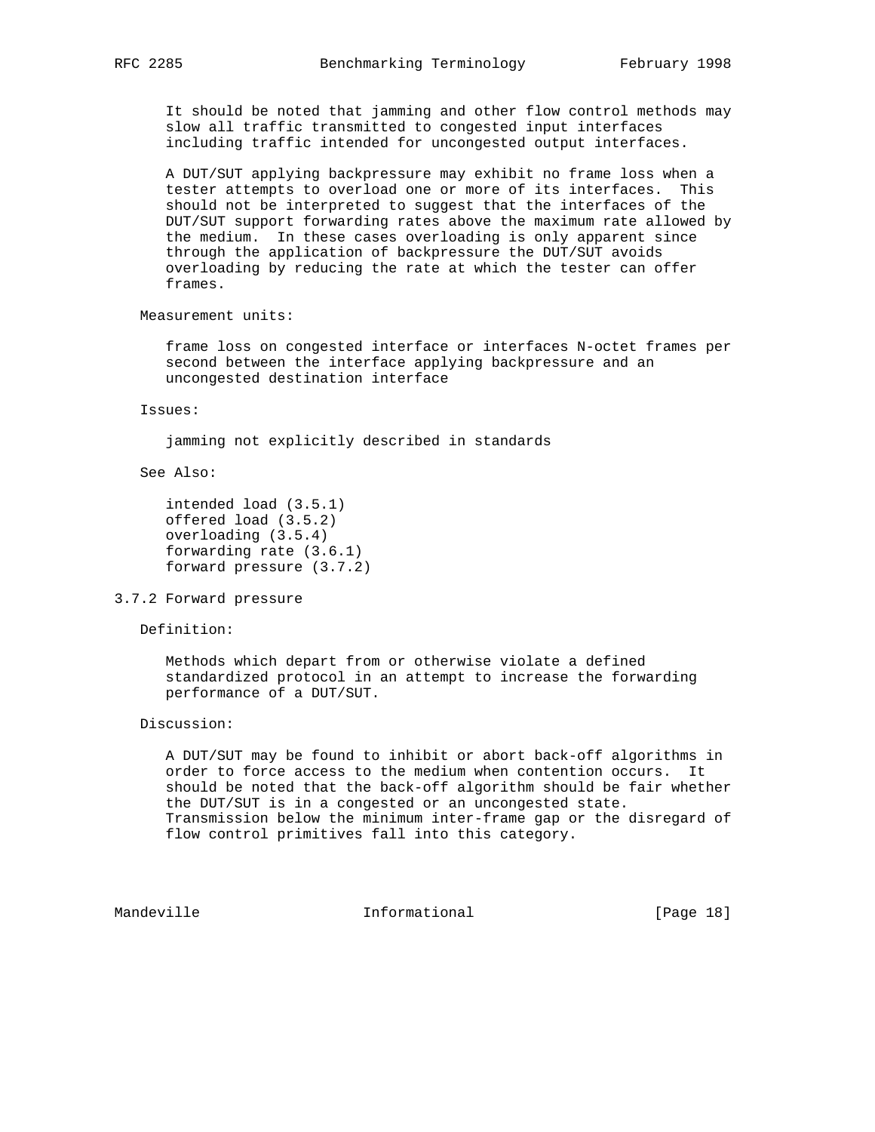It should be noted that jamming and other flow control methods may slow all traffic transmitted to congested input interfaces including traffic intended for uncongested output interfaces.

 A DUT/SUT applying backpressure may exhibit no frame loss when a tester attempts to overload one or more of its interfaces. This should not be interpreted to suggest that the interfaces of the DUT/SUT support forwarding rates above the maximum rate allowed by the medium. In these cases overloading is only apparent since through the application of backpressure the DUT/SUT avoids overloading by reducing the rate at which the tester can offer frames.

Measurement units:

 frame loss on congested interface or interfaces N-octet frames per second between the interface applying backpressure and an uncongested destination interface

Issues:

jamming not explicitly described in standards

See Also:

```
 intended load (3.5.1)
offered load (3.5.2)
overloading (3.5.4)
forwarding rate (3.6.1)
forward pressure (3.7.2)
```
3.7.2 Forward pressure

Definition:

 Methods which depart from or otherwise violate a defined standardized protocol in an attempt to increase the forwarding performance of a DUT/SUT.

Discussion:

 A DUT/SUT may be found to inhibit or abort back-off algorithms in order to force access to the medium when contention occurs. It should be noted that the back-off algorithm should be fair whether the DUT/SUT is in a congested or an uncongested state. Transmission below the minimum inter-frame gap or the disregard of flow control primitives fall into this category.

Mandeville **Informational** Informational [Page 18]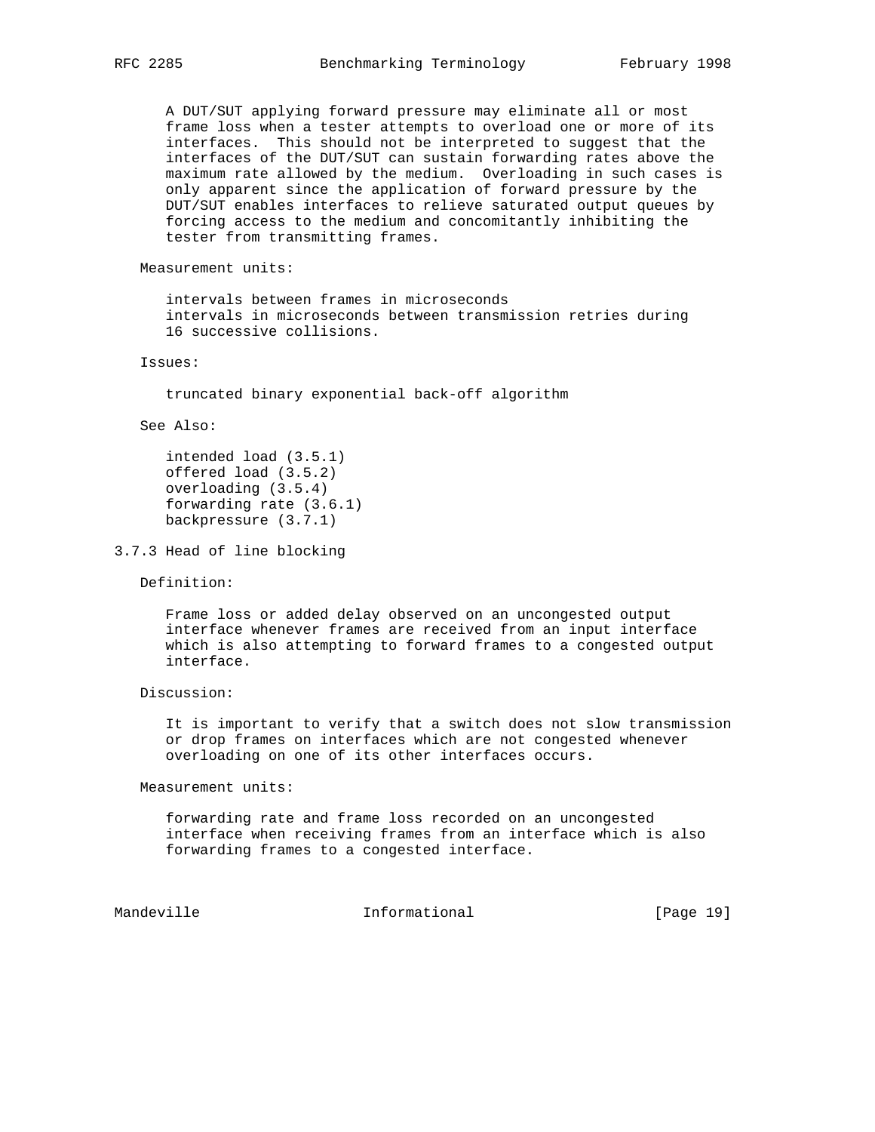A DUT/SUT applying forward pressure may eliminate all or most frame loss when a tester attempts to overload one or more of its interfaces. This should not be interpreted to suggest that the interfaces of the DUT/SUT can sustain forwarding rates above the maximum rate allowed by the medium. Overloading in such cases is only apparent since the application of forward pressure by the DUT/SUT enables interfaces to relieve saturated output queues by forcing access to the medium and concomitantly inhibiting the tester from transmitting frames.

Measurement units:

 intervals between frames in microseconds intervals in microseconds between transmission retries during 16 successive collisions.

#### Issues:

truncated binary exponential back-off algorithm

See Also:

 intended load (3.5.1) offered load (3.5.2) overloading (3.5.4) forwarding rate (3.6.1) backpressure (3.7.1)

3.7.3 Head of line blocking

Definition:

 Frame loss or added delay observed on an uncongested output interface whenever frames are received from an input interface which is also attempting to forward frames to a congested output interface.

Discussion:

 It is important to verify that a switch does not slow transmission or drop frames on interfaces which are not congested whenever overloading on one of its other interfaces occurs.

Measurement units:

 forwarding rate and frame loss recorded on an uncongested interface when receiving frames from an interface which is also forwarding frames to a congested interface.

Mandeville **Informational** Informational [Page 19]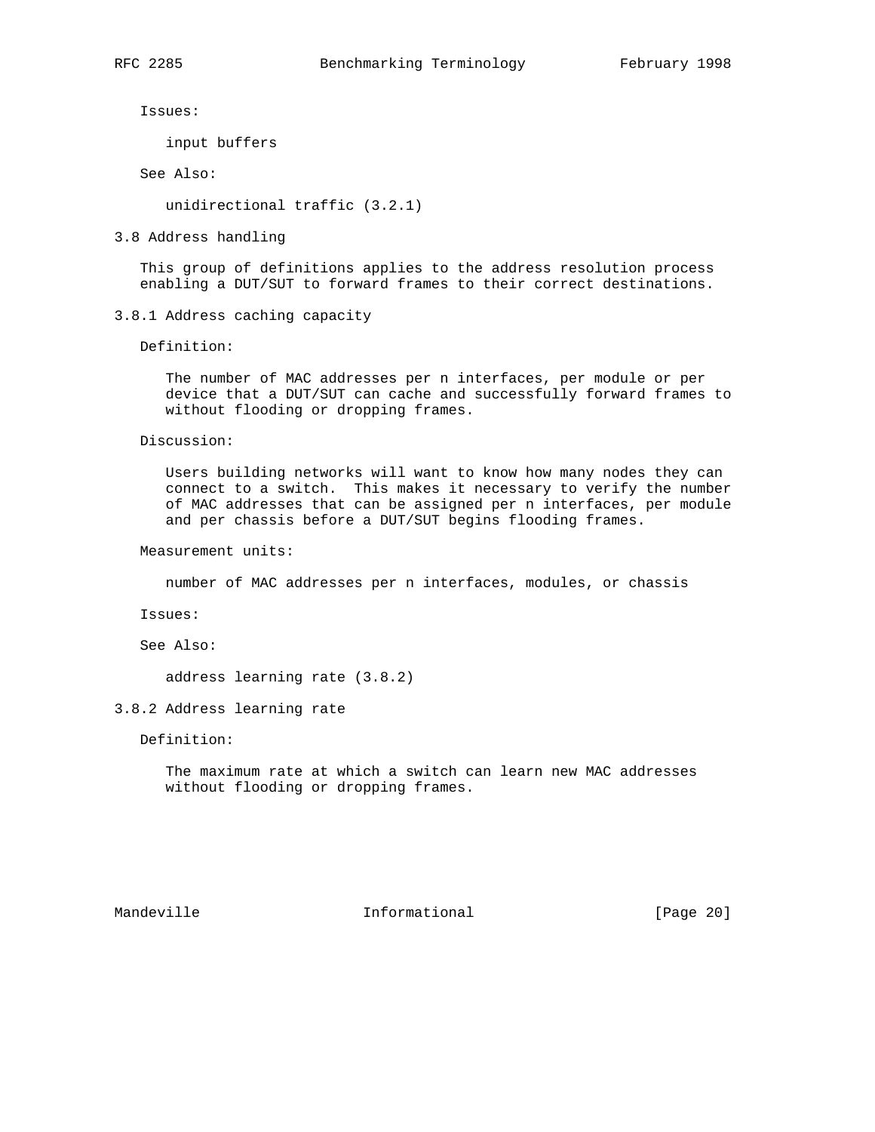Issues:

input buffers

See Also:

unidirectional traffic (3.2.1)

3.8 Address handling

 This group of definitions applies to the address resolution process enabling a DUT/SUT to forward frames to their correct destinations.

3.8.1 Address caching capacity

Definition:

 The number of MAC addresses per n interfaces, per module or per device that a DUT/SUT can cache and successfully forward frames to without flooding or dropping frames.

Discussion:

 Users building networks will want to know how many nodes they can connect to a switch. This makes it necessary to verify the number of MAC addresses that can be assigned per n interfaces, per module and per chassis before a DUT/SUT begins flooding frames.

Measurement units:

number of MAC addresses per n interfaces, modules, or chassis

Issues:

See Also:

address learning rate (3.8.2)

### 3.8.2 Address learning rate

Definition:

 The maximum rate at which a switch can learn new MAC addresses without flooding or dropping frames.

Mandeville **Informational** Informational [Page 20]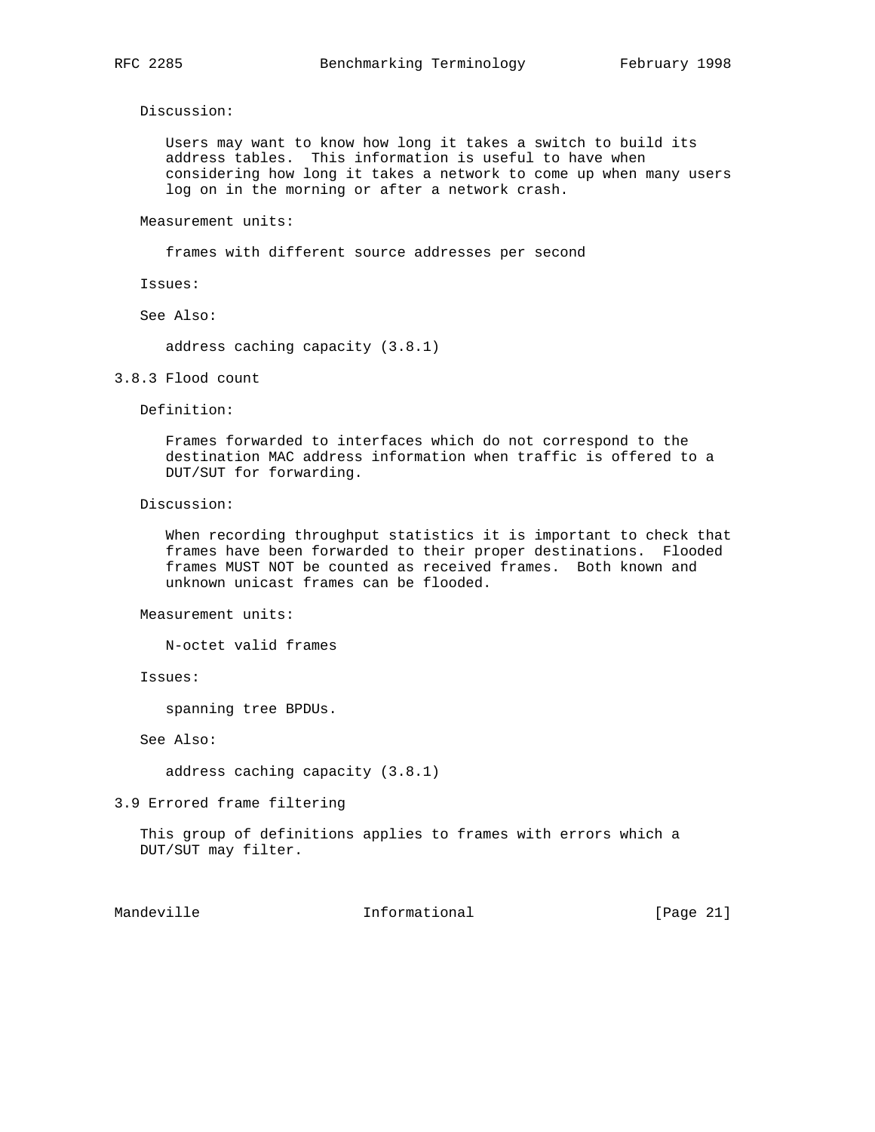Discussion:

 Users may want to know how long it takes a switch to build its address tables. This information is useful to have when considering how long it takes a network to come up when many users log on in the morning or after a network crash.

Measurement units:

frames with different source addresses per second

Issues:

See Also:

address caching capacity (3.8.1)

3.8.3 Flood count

Definition:

 Frames forwarded to interfaces which do not correspond to the destination MAC address information when traffic is offered to a DUT/SUT for forwarding.

Discussion:

 When recording throughput statistics it is important to check that frames have been forwarded to their proper destinations. Flooded frames MUST NOT be counted as received frames. Both known and unknown unicast frames can be flooded.

Measurement units:

N-octet valid frames

Issues:

spanning tree BPDUs.

See Also:

address caching capacity (3.8.1)

3.9 Errored frame filtering

 This group of definitions applies to frames with errors which a DUT/SUT may filter.

Mandeville **Informational** Informational [Page 21]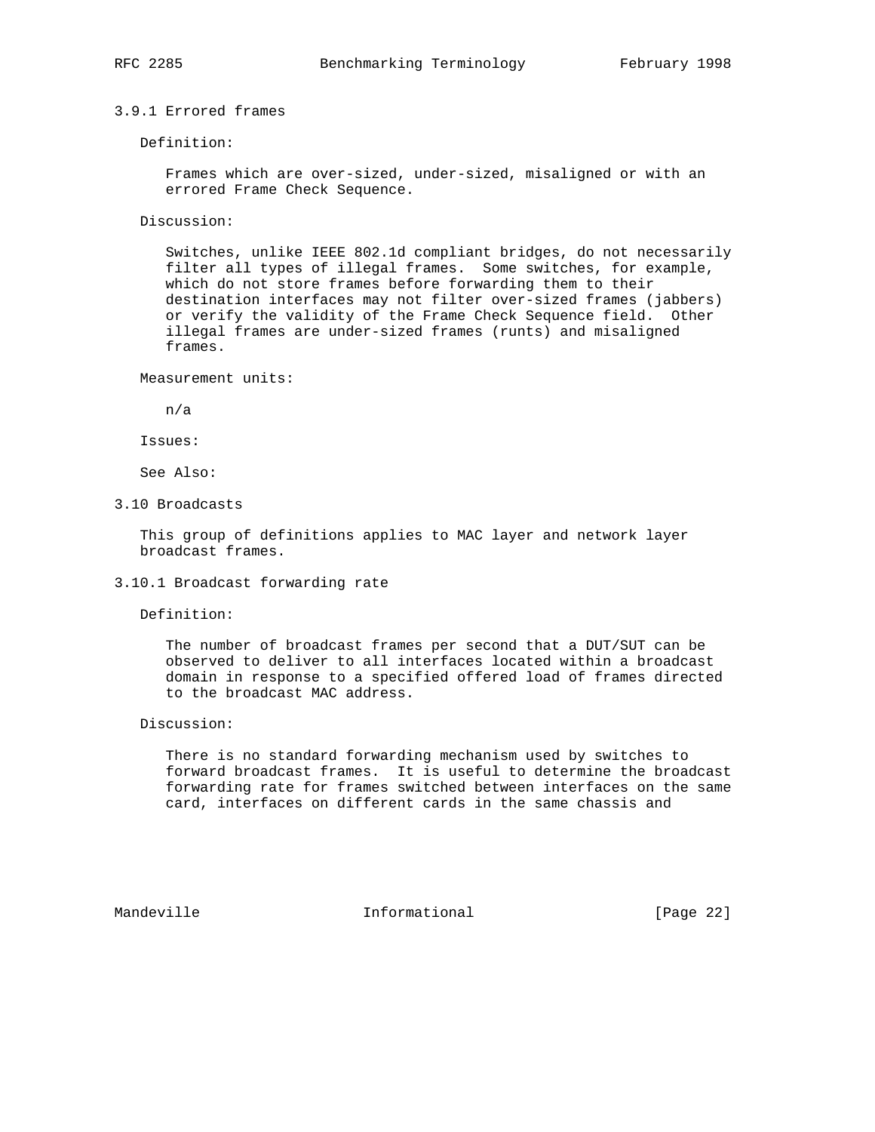# 3.9.1 Errored frames

Definition:

 Frames which are over-sized, under-sized, misaligned or with an errored Frame Check Sequence.

Discussion:

 Switches, unlike IEEE 802.1d compliant bridges, do not necessarily filter all types of illegal frames. Some switches, for example, which do not store frames before forwarding them to their destination interfaces may not filter over-sized frames (jabbers) or verify the validity of the Frame Check Sequence field. Other illegal frames are under-sized frames (runts) and misaligned frames.

Measurement units:

n/a

Issues:

See Also:

3.10 Broadcasts

 This group of definitions applies to MAC layer and network layer broadcast frames.

### 3.10.1 Broadcast forwarding rate

Definition:

 The number of broadcast frames per second that a DUT/SUT can be observed to deliver to all interfaces located within a broadcast domain in response to a specified offered load of frames directed to the broadcast MAC address.

Discussion:

 There is no standard forwarding mechanism used by switches to forward broadcast frames. It is useful to determine the broadcast forwarding rate for frames switched between interfaces on the same card, interfaces on different cards in the same chassis and

Mandeville **Informational** Informational [Page 22]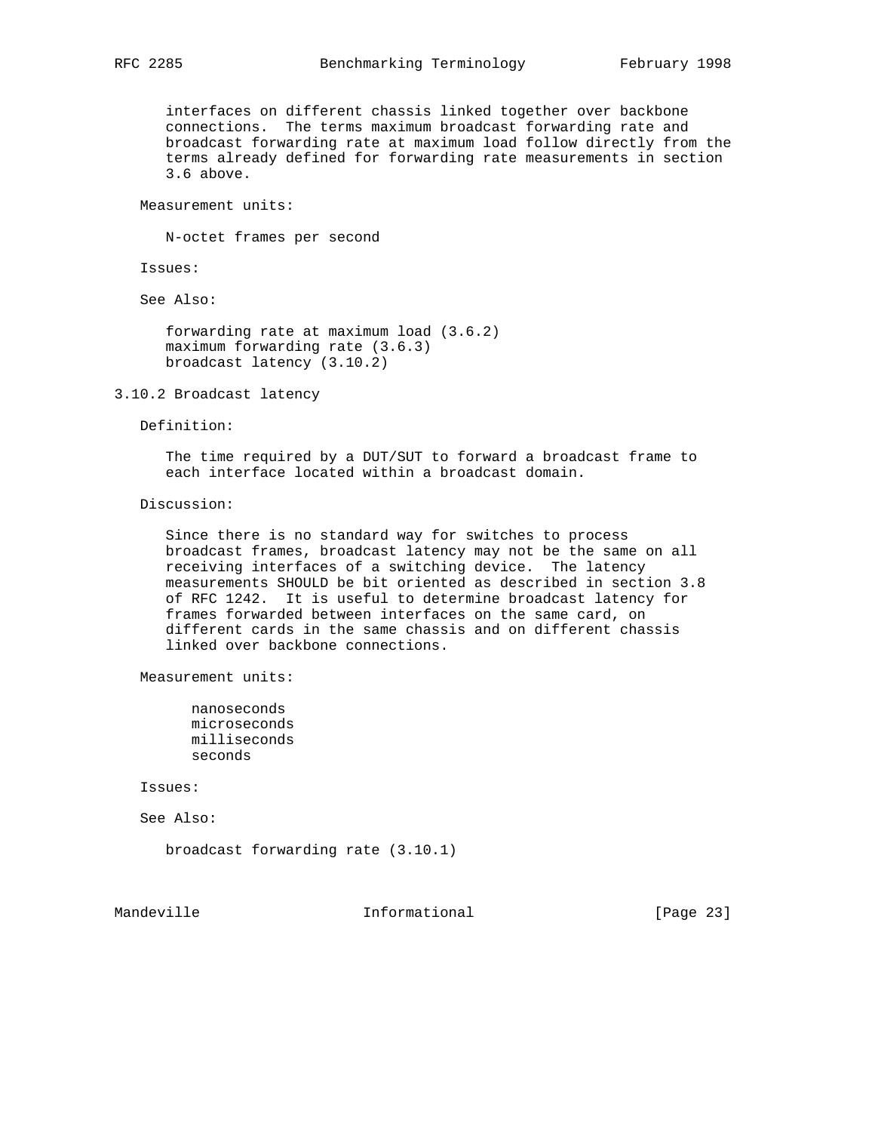interfaces on different chassis linked together over backbone connections. The terms maximum broadcast forwarding rate and broadcast forwarding rate at maximum load follow directly from the terms already defined for forwarding rate measurements in section 3.6 above.

Measurement units:

N-octet frames per second

Issues:

See Also:

 forwarding rate at maximum load (3.6.2) maximum forwarding rate (3.6.3) broadcast latency (3.10.2)

3.10.2 Broadcast latency

Definition:

 The time required by a DUT/SUT to forward a broadcast frame to each interface located within a broadcast domain.

Discussion:

 Since there is no standard way for switches to process broadcast frames, broadcast latency may not be the same on all receiving interfaces of a switching device. The latency measurements SHOULD be bit oriented as described in section 3.8 of RFC 1242. It is useful to determine broadcast latency for frames forwarded between interfaces on the same card, on different cards in the same chassis and on different chassis linked over backbone connections.

Measurement units:

 nanoseconds microseconds milliseconds seconds

Issues:

See Also:

broadcast forwarding rate (3.10.1)

Mandeville **Informational** Informational [Page 23]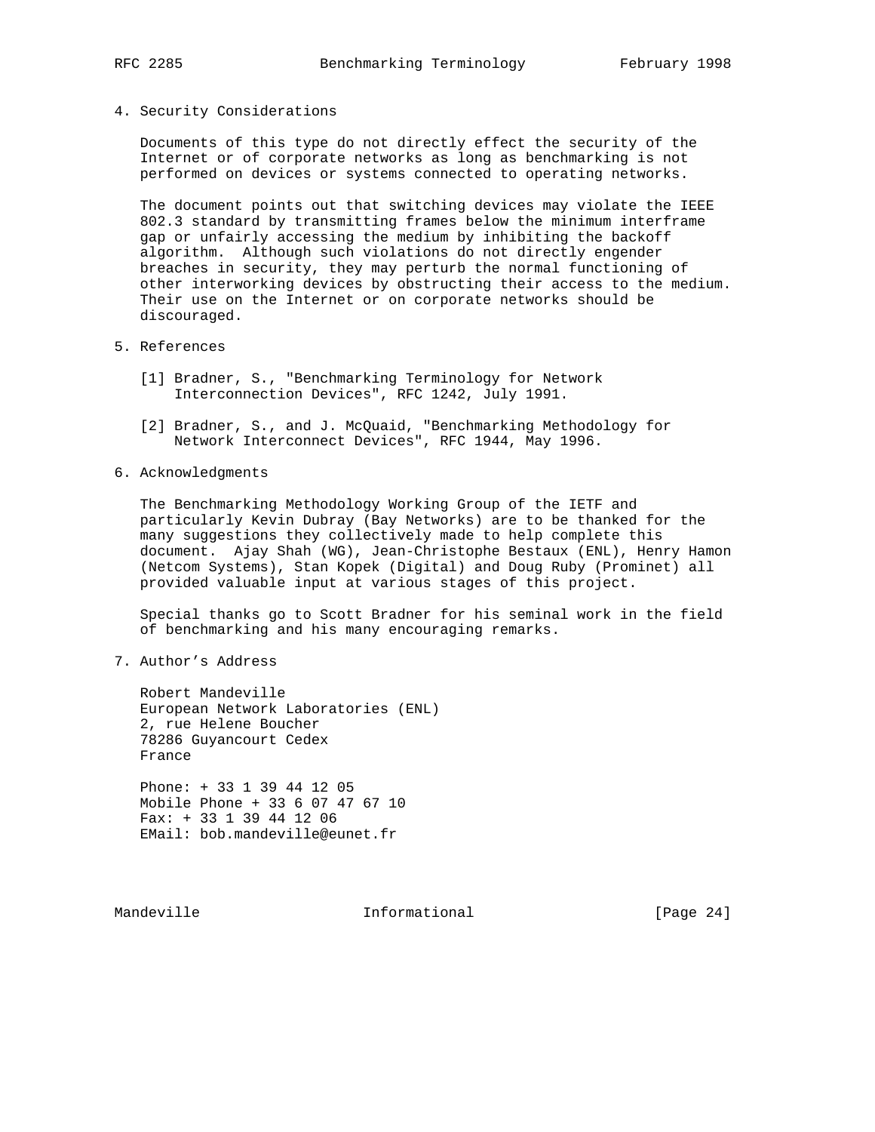- 
- 4. Security Considerations

 Documents of this type do not directly effect the security of the Internet or of corporate networks as long as benchmarking is not performed on devices or systems connected to operating networks.

 The document points out that switching devices may violate the IEEE 802.3 standard by transmitting frames below the minimum interframe gap or unfairly accessing the medium by inhibiting the backoff algorithm. Although such violations do not directly engender breaches in security, they may perturb the normal functioning of other interworking devices by obstructing their access to the medium. Their use on the Internet or on corporate networks should be discouraged.

- 5. References
	- [1] Bradner, S., "Benchmarking Terminology for Network Interconnection Devices", RFC 1242, July 1991.
	- [2] Bradner, S., and J. McQuaid, "Benchmarking Methodology for Network Interconnect Devices", RFC 1944, May 1996.
- 6. Acknowledgments

 The Benchmarking Methodology Working Group of the IETF and particularly Kevin Dubray (Bay Networks) are to be thanked for the many suggestions they collectively made to help complete this document. Ajay Shah (WG), Jean-Christophe Bestaux (ENL), Henry Hamon (Netcom Systems), Stan Kopek (Digital) and Doug Ruby (Prominet) all provided valuable input at various stages of this project.

 Special thanks go to Scott Bradner for his seminal work in the field of benchmarking and his many encouraging remarks.

7. Author's Address

 Robert Mandeville European Network Laboratories (ENL) 2, rue Helene Boucher 78286 Guyancourt Cedex France

 Phone: + 33 1 39 44 12 05 Mobile Phone + 33 6 07 47 67 10 Fax: + 33 1 39 44 12 06 EMail: bob.mandeville@eunet.fr

Mandeville **Informational** Informational [Page 24]